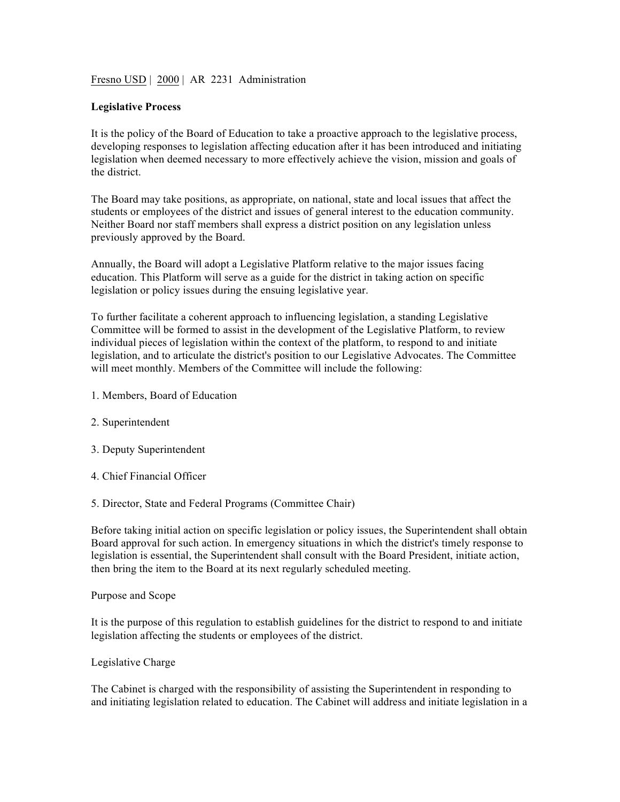Fresno USD | 2000 | AR 2231 Administration

### **Legislative Process**

It is the policy of the Board of Education to take a proactive approach to the legislative process, developing responses to legislation affecting education after it has been introduced and initiating legislation when deemed necessary to more effectively achieve the vision, mission and goals of the district.

The Board may take positions, as appropriate, on national, state and local issues that affect the students or employees of the district and issues of general interest to the education community. Neither Board nor staff members shall express a district position on any legislation unless previously approved by the Board.

Annually, the Board will adopt a Legislative Platform relative to the major issues facing education. This Platform will serve as a guide for the district in taking action on specific legislation or policy issues during the ensuing legislative year.

To further facilitate a coherent approach to influencing legislation, a standing Legislative Committee will be formed to assist in the development of the Legislative Platform, to review individual pieces of legislation within the context of the platform, to respond to and initiate legislation, and to articulate the district's position to our Legislative Advocates. The Committee will meet monthly. Members of the Committee will include the following:

- 1. Members, Board of Education
- 2. Superintendent
- 3. Deputy Superintendent
- 4. Chief Financial Officer
- 5. Director, State and Federal Programs (Committee Chair)

Before taking initial action on specific legislation or policy issues, the Superintendent shall obtain Board approval for such action. In emergency situations in which the district's timely response to legislation is essential, the Superintendent shall consult with the Board President, initiate action, then bring the item to the Board at its next regularly scheduled meeting.

#### Purpose and Scope

It is the purpose of this regulation to establish guidelines for the district to respond to and initiate legislation affecting the students or employees of the district.

Legislative Charge

The Cabinet is charged with the responsibility of assisting the Superintendent in responding to and initiating legislation related to education. The Cabinet will address and initiate legislation in a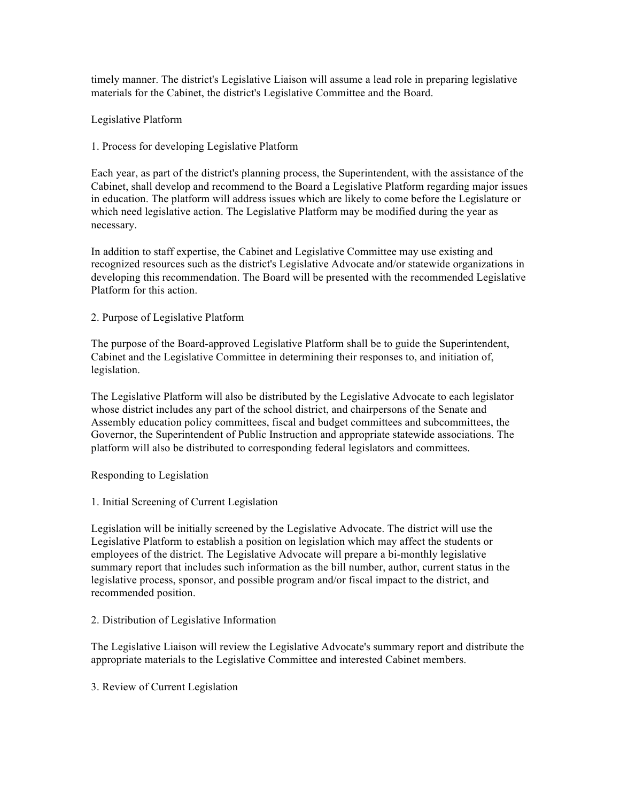timely manner. The district's Legislative Liaison will assume a lead role in preparing legislative materials for the Cabinet, the district's Legislative Committee and the Board.

Legislative Platform

1. Process for developing Legislative Platform

Each year, as part of the district's planning process, the Superintendent, with the assistance of the Cabinet, shall develop and recommend to the Board a Legislative Platform regarding major issues in education. The platform will address issues which are likely to come before the Legislature or which need legislative action. The Legislative Platform may be modified during the year as necessary.

In addition to staff expertise, the Cabinet and Legislative Committee may use existing and recognized resources such as the district's Legislative Advocate and/or statewide organizations in developing this recommendation. The Board will be presented with the recommended Legislative Platform for this action.

## 2. Purpose of Legislative Platform

The purpose of the Board-approved Legislative Platform shall be to guide the Superintendent, Cabinet and the Legislative Committee in determining their responses to, and initiation of, legislation.

The Legislative Platform will also be distributed by the Legislative Advocate to each legislator whose district includes any part of the school district, and chairpersons of the Senate and Assembly education policy committees, fiscal and budget committees and subcommittees, the Governor, the Superintendent of Public Instruction and appropriate statewide associations. The platform will also be distributed to corresponding federal legislators and committees.

### Responding to Legislation

1. Initial Screening of Current Legislation

Legislation will be initially screened by the Legislative Advocate. The district will use the Legislative Platform to establish a position on legislation which may affect the students or employees of the district. The Legislative Advocate will prepare a bi-monthly legislative summary report that includes such information as the bill number, author, current status in the legislative process, sponsor, and possible program and/or fiscal impact to the district, and recommended position.

# 2. Distribution of Legislative Information

The Legislative Liaison will review the Legislative Advocate's summary report and distribute the appropriate materials to the Legislative Committee and interested Cabinet members.

3. Review of Current Legislation